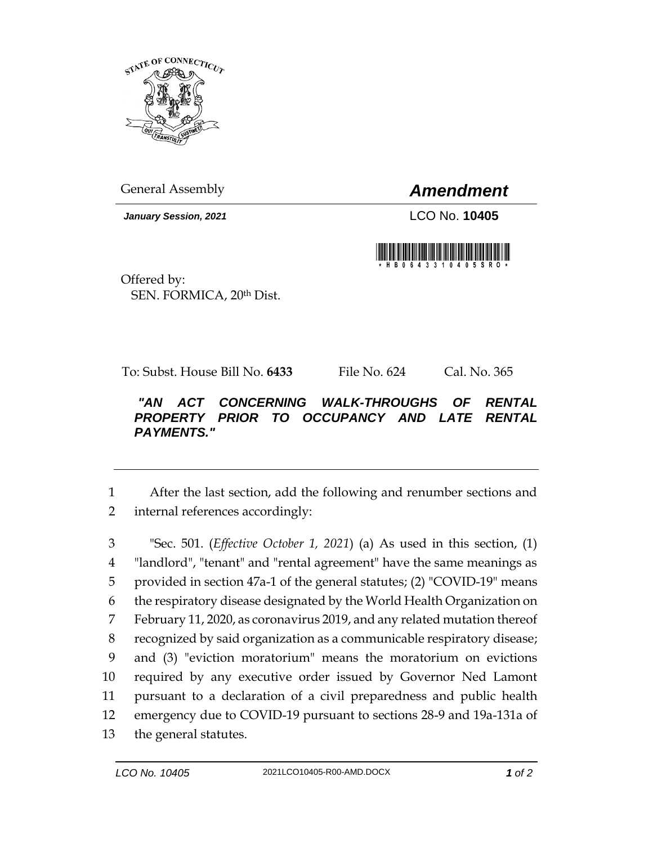

General Assembly *Amendment*

*January Session, 2021* LCO No. **10405**



Offered by: SEN. FORMICA, 20th Dist.

To: Subst. House Bill No. **6433** File No. 624 Cal. No. 365

## *"AN ACT CONCERNING WALK-THROUGHS OF RENTAL PROPERTY PRIOR TO OCCUPANCY AND LATE RENTAL PAYMENTS."*

1 After the last section, add the following and renumber sections and 2 internal references accordingly:

 "Sec. 501. (*Effective October 1, 2021*) (a) As used in this section, (1) "landlord", "tenant" and "rental agreement" have the same meanings as provided in section 47a-1 of the general statutes; (2) "COVID-19" means the respiratory disease designated by the World Health Organization on February 11, 2020, as coronavirus 2019, and any related mutation thereof recognized by said organization as a communicable respiratory disease; and (3) "eviction moratorium" means the moratorium on evictions required by any executive order issued by Governor Ned Lamont pursuant to a declaration of a civil preparedness and public health emergency due to COVID-19 pursuant to sections 28-9 and 19a-131a of the general statutes.